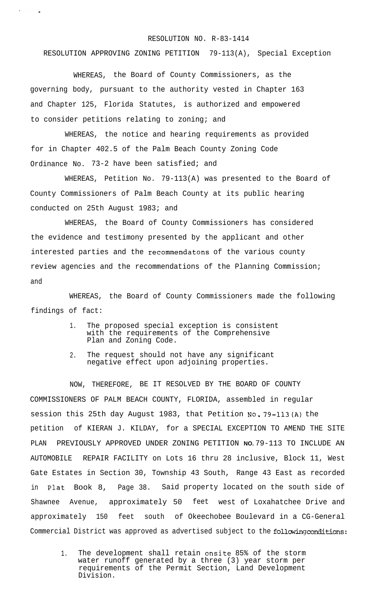## RESOLUTION NO. R-83-1414

## RESOLUTION APPROVING ZONING PETITION 79-113(A), Special Exception

WHEREAS, the Board of County Commissioners, as the governing body, pursuant to the authority vested in Chapter 163 and Chapter 125, Florida Statutes, is authorized and empowered to consider petitions relating to zoning; and

WHEREAS, the notice and hearing requirements as provided for in Chapter 402.5 of the Palm Beach County Zoning Code Ordinance No. 73-2 have been satisfied; and

WHEREAS, Petition No. 79-113(A) was presented to the Board of County Commissioners of Palm Beach County at its public hearing conducted on 25th August 1983; and

WHEREAS, the Board of County Commissioners has considered the evidence and testimony presented by the applicant and other interested parties and the recommendatons of the various county review agencies and the recommendations of the Planning Commission; and

WHEREAS, the Board of County Commissioners made the following findings of fact:

- 1. The proposed special exception is consistent with the requirements of the Comprehensive Plan and Zoning Code.
- 2. The request should not have any significant negative effect upon adjoining properties.

NOW, THEREFORE, BE IT RESOLVED BY THE BOARD OF COUNTY COMMISSIONERS OF PALM BEACH COUNTY, FLORIDA, assembled in regular session this 25th day August 1983, that Petition NO. 79-113(A) the petition of KIERAN J. KILDAY, for a SPECIAL EXCEPTION TO AMEND THE SITE PLAN PREVIOUSLY APPROVED UNDER ZONING PETITION **NO.** 79-113 TO INCLUDE AN AUTOMOBILE REPAIR FACILITY on Lots 16 thru 28 inclusive, Block 11, West Gate Estates in Section 30, Township 43 South, Range 43 East as recorded in Plat Book 8, Page 38. Said property located on the south side of Shawnee Avenue, approximately 50 feet west of Loxahatchee Drive and approximately 150 feet south of Okeechobee Boulevard in a CG-General Commercial District was approved as advertised subject to the following conditions:

1. The development shall retain onsite 85% of the storm water runoff generated by a three (3) year storm per requirements of the Permit Section, Land Development Division.